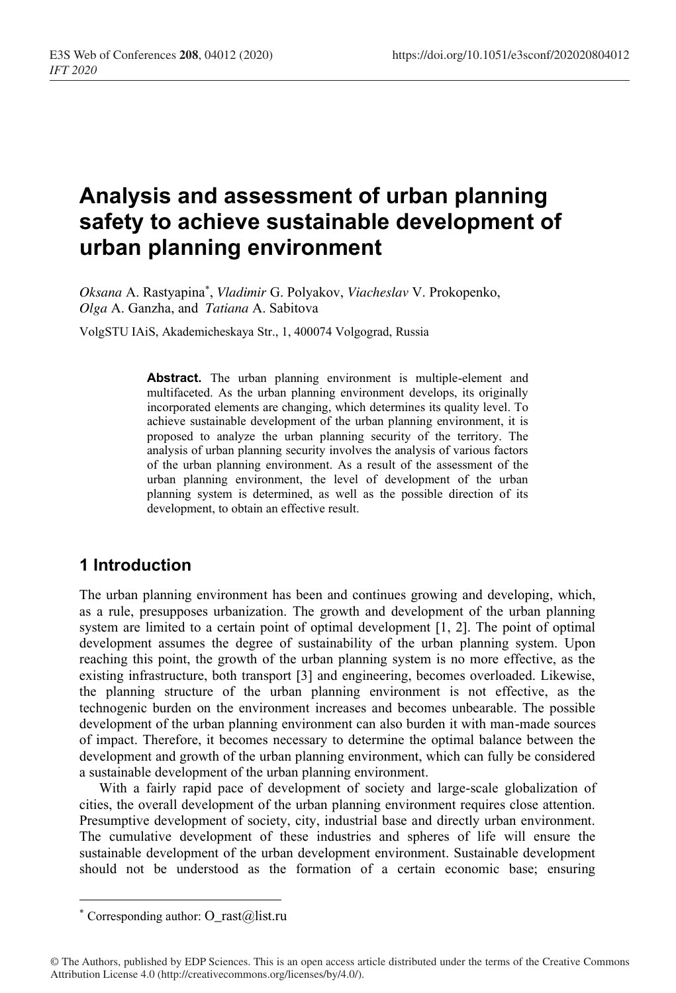# **Analysis and assessment of urban planning safety to achieve sustainable development of urban planning environment**

*Oksana* A. Rastyapina\* , *Vladimir* G. Polyakov, *Viacheslav* V. Prokopenko, *Olga* A. Ganzha, and *Tatiana* A. Sabitova

VolgSTU IAiS, Akademicheskaya Str., 1, 400074 Volgograd, Russia

**Abstract.** The urban planning environment is multiple-element and multifaceted. As the urban planning environment develops, its originally incorporated elements are changing, which determines its quality level. To achieve sustainable development of the urban planning environment, it is proposed to analyze the urban planning security of the territory. The analysis of urban planning security involves the analysis of various factors of the urban planning environment. As a result of the assessment of the urban planning environment, the level of development of the urban planning system is determined, as well as the possible direction of its development, to obtain an effective result.

### **1 Introduction**

The urban planning environment has been and continues growing and developing, which, as a rule, presupposes urbanization. The growth and development of the urban planning system are limited to a certain point of optimal development [1, 2]. The point of optimal development assumes the degree of sustainability of the urban planning system. Upon reaching this point, the growth of the urban planning system is no more effective, as the existing infrastructure, both transport [3] and engineering, becomes overloaded. Likewise, the planning structure of the urban planning environment is not effective, as the technogenic burden on the environment increases and becomes unbearable. The possible development of the urban planning environment can also burden it with man-made sources of impact. Therefore, it becomes necessary to determine the optimal balance between the development and growth of the urban planning environment, which can fully be considered a sustainable development of the urban planning environment.

With a fairly rapid pace of development of society and large-scale globalization of cities, the overall development of the urban planning environment requires close attention. Presumptive development of society, city, industrial base and directly urban environment. The cumulative development of these industries and spheres of life will ensure the sustainable development of the urban development environment. Sustainable development should not be understood as the formation of a certain economic base; ensuring

<sup>\*</sup> Corresponding author: O\_rast@list.ru

<sup>©</sup> The Authors, published by EDP Sciences. This is an open access article distributed under the terms of the Creative Commons Attribution License 4.0 (http://creativecommons.org/licenses/by/4.0/).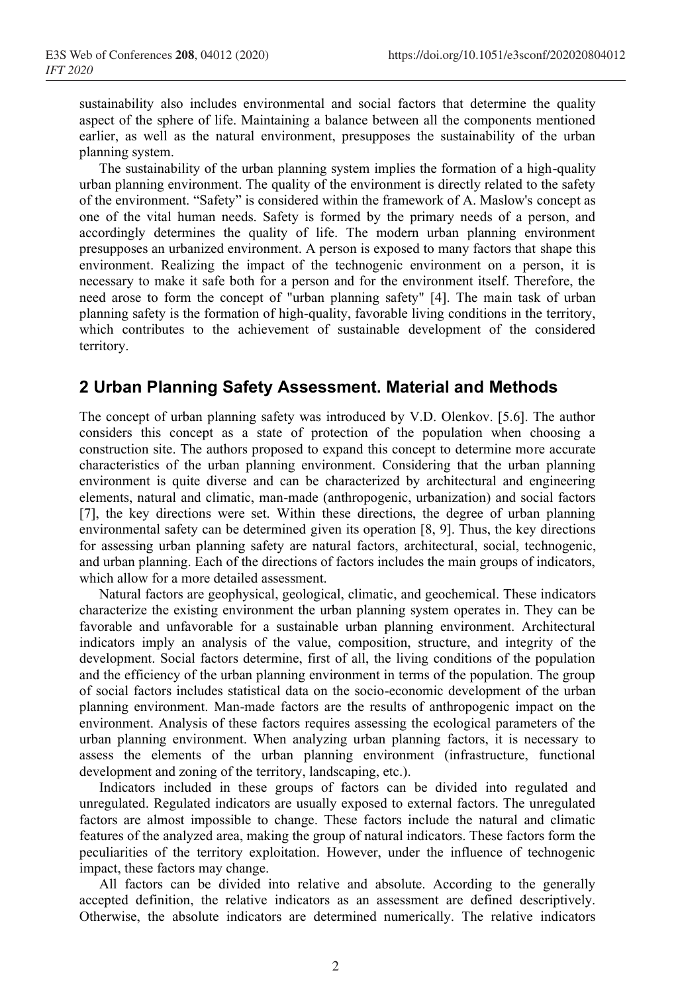sustainability also includes environmental and social factors that determine the quality aspect of the sphere of life. Maintaining a balance between all the components mentioned earlier, as well as the natural environment, presupposes the sustainability of the urban planning system.

The sustainability of the urban planning system implies the formation of a high-quality urban planning environment. The quality of the environment is directly related to the safety of the environment. "Safety" is considered within the framework of A. Maslow's concept as one of the vital human needs. Safety is formed by the primary needs of a person, and accordingly determines the quality of life. The modern urban planning environment presupposes an urbanized environment. A person is exposed to many factors that shape this environment. Realizing the impact of the technogenic environment on a person, it is necessary to make it safe both for a person and for the environment itself. Therefore, the need arose to form the concept of "urban planning safety" [4]. The main task of urban planning safety is the formation of high-quality, favorable living conditions in the territory, which contributes to the achievement of sustainable development of the considered territory.

#### **2 Urban Planning Safety Assessment. Material and Methods**

The concept of urban planning safety was introduced by V.D. Olenkov. [5.6]. The author considers this concept as a state of protection of the population when choosing a construction site. The authors proposed to expand this concept to determine more accurate characteristics of the urban planning environment. Considering that the urban planning environment is quite diverse and can be characterized by architectural and engineering elements, natural and climatic, man-made (anthropogenic, urbanization) and social factors [7], the key directions were set. Within these directions, the degree of urban planning environmental safety can be determined given its operation [8, 9]. Thus, the key directions for assessing urban planning safety are natural factors, architectural, social, technogenic, and urban planning. Each of the directions of factors includes the main groups of indicators, which allow for a more detailed assessment.

Natural factors are geophysical, geological, climatic, and geochemical. These indicators characterize the existing environment the urban planning system operates in. They can be favorable and unfavorable for a sustainable urban planning environment. Architectural indicators imply an analysis of the value, composition, structure, and integrity of the development. Social factors determine, first of all, the living conditions of the population and the efficiency of the urban planning environment in terms of the population. The group of social factors includes statistical data on the socio-economic development of the urban planning environment. Man-made factors are the results of anthropogenic impact on the environment. Analysis of these factors requires assessing the ecological parameters of the urban planning environment. When analyzing urban planning factors, it is necessary to assess the elements of the urban planning environment (infrastructure, functional development and zoning of the territory, landscaping, etc.).

Indicators included in these groups of factors can be divided into regulated and unregulated. Regulated indicators are usually exposed to external factors. The unregulated factors are almost impossible to change. These factors include the natural and climatic features of the analyzed area, making the group of natural indicators. These factors form the peculiarities of the territory exploitation. However, under the influence of technogenic impact, these factors may change.

All factors can be divided into relative and absolute. According to the generally accepted definition, the relative indicators as an assessment are defined descriptively. Otherwise, the absolute indicators are determined numerically. The relative indicators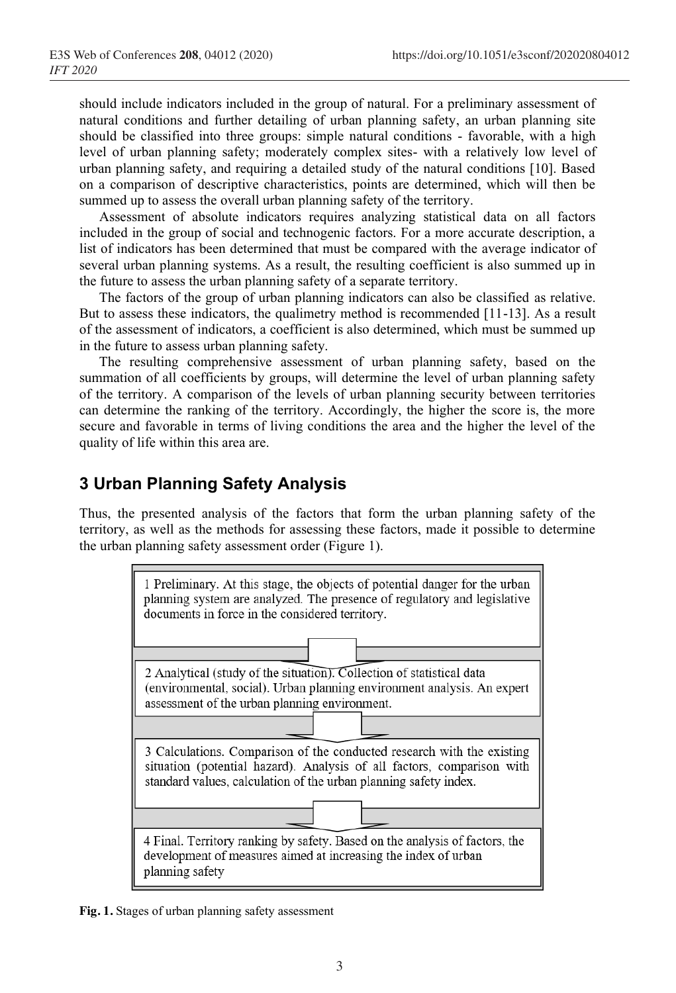should include indicators included in the group of natural. For a preliminary assessment of natural conditions and further detailing of urban planning safety, an urban planning site should be classified into three groups: simple natural conditions - favorable, with a high level of urban planning safety; moderately complex sites- with a relatively low level of urban planning safety, and requiring a detailed study of the natural conditions [10]. Based on a comparison of descriptive characteristics, points are determined, which will then be summed up to assess the overall urban planning safety of the territory.

Assessment of absolute indicators requires analyzing statistical data on all factors included in the group of social and technogenic factors. For a more accurate description, a list of indicators has been determined that must be compared with the average indicator of several urban planning systems. As a result, the resulting coefficient is also summed up in the future to assess the urban planning safety of a separate territory.

The factors of the group of urban planning indicators can also be classified as relative. But to assess these indicators, the qualimetry method is recommended [11-13]. As a result of the assessment of indicators, a coefficient is also determined, which must be summed up in the future to assess urban planning safety.

The resulting comprehensive assessment of urban planning safety, based on the summation of all coefficients by groups, will determine the level of urban planning safety of the territory. A comparison of the levels of urban planning security between territories can determine the ranking of the territory. Accordingly, the higher the score is, the more secure and favorable in terms of living conditions the area and the higher the level of the quality of life within this area are.

## **3 Urban Planning Safety Analysis**

Thus, the presented analysis of the factors that form the urban planning safety of the territory, as well as the methods for assessing these factors, made it possible to determine the urban planning safety assessment order (Figure 1).



**Fig. 1.** Stages of urban planning safety assessment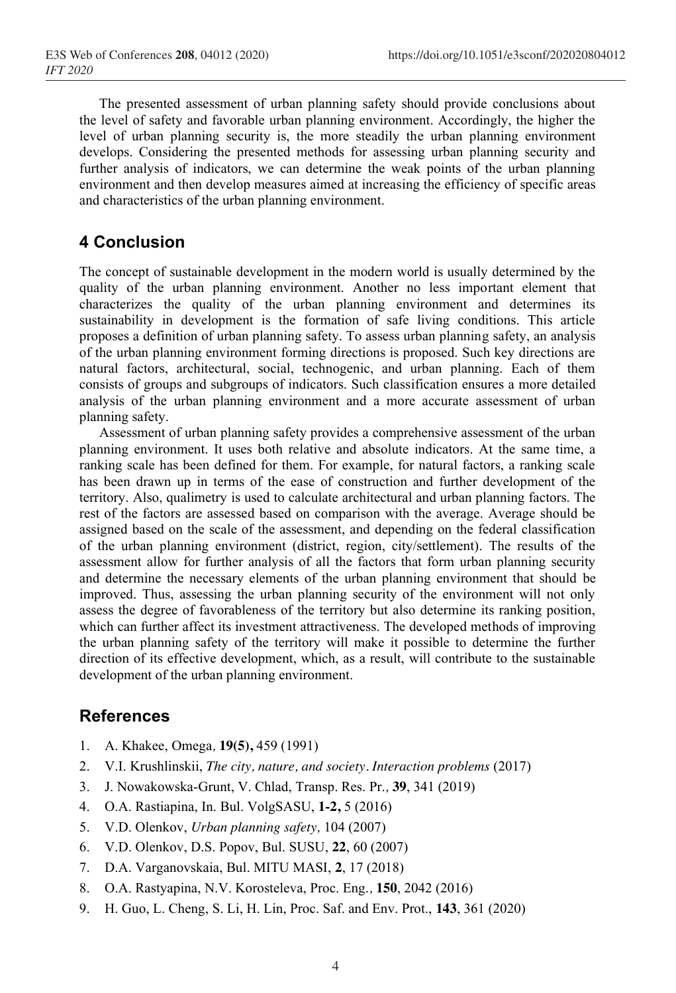The presented assessment of urban planning safety should provide conclusions about the level of safety and favorable urban planning environment. Accordingly, the higher the level of urban planning security is, the more steadily the urban planning environment develops. Considering the presented methods for assessing urban planning security and further analysis of indicators, we can determine the weak points of the urban planning environment and then develop measures aimed at increasing the efficiency of specific areas and characteristics of the urban planning environment.

## **4 Conclusion**

The concept of sustainable development in the modern world is usually determined by the quality of the urban planning environment. Another no less important element that characterizes the quality of the urban planning environment and determines its sustainability in development is the formation of safe living conditions. This article proposes a definition of urban planning safety. To assess urban planning safety, an analysis of the urban planning environment forming directions is proposed. Such key directions are natural factors, architectural, social, technogenic, and urban planning. Each of them consists of groups and subgroups of indicators. Such classification ensures a more detailed analysis of the urban planning environment and a more accurate assessment of urban planning safety.

Assessment of urban planning safety provides a comprehensive assessment of the urban planning environment. It uses both relative and absolute indicators. At the same time, a ranking scale has been defined for them. For example, for natural factors, a ranking scale has been drawn up in terms of the ease of construction and further development of the territory. Also, qualimetry is used to calculate architectural and urban planning factors. The rest of the factors are assessed based on comparison with the average. Average should be assigned based on the scale of the assessment, and depending on the federal classification of the urban planning environment (district, region, city/settlement). The results of the assessment allow for further analysis of all the factors that form urban planning security and determine the necessary elements of the urban planning environment that should be improved. Thus, assessing the urban planning security of the environment will not only assess the degree of favorableness of the territory but also determine its ranking position, which can further affect its investment attractiveness. The developed methods of improving the urban planning safety of the territory will make it possible to determine the further direction of its effective development, which, as a result, will contribute to the sustainable development of the urban planning environment.

#### **References**

- 1. A. Khakee, Omega*,* **19(5),** 459 (1991)
- 2. V.I. Krushlinskii, *The city, nature, and society. Interaction problems* (2017)
- 3. J. Nowakowska-Grunt, V. Chlad, Transp. Res. Pr.*,* **39**, 341 (2019)
- 4. O.A. Rastiapina, In. Bul. VolgSASU, **1-2,** 5 (2016)
- 5. V.D. Olenkov, *Urban planning safety,* 104 (2007)
- 6. V.D. Olenkov, D.S. Popov, Bul. SUSU, **22**, 60 (2007)
- 7. D.A. Varganovskaia, Bul. MITU MASI, **2**, 17 (2018)
- 8. O.A. Rastyapina, N.V. Korosteleva, Proc. Eng.*,* **150**, 2042 (2016)
- 9. H. Guo, L. Cheng, S. Li, H. Lin, Proc. Saf. and Env. Prot., **143**, 361 (2020)